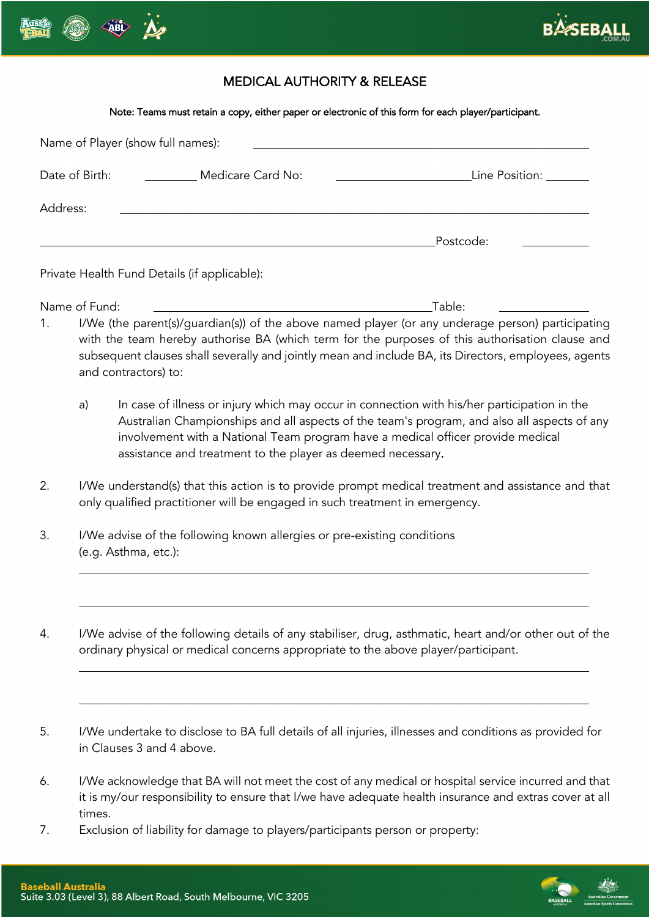



## MEDICAL AUTHORITY & RELEASE

### Note: Teams must retain a copy, either paper or electronic of this form for each player/participant.

|          |                                                                                                                                                                                              | Name of Player (show full names):                                                                                                              |                                                                                                                                                                                                                                                                                                                                                                                                                                                                                                                       |
|----------|----------------------------------------------------------------------------------------------------------------------------------------------------------------------------------------------|------------------------------------------------------------------------------------------------------------------------------------------------|-----------------------------------------------------------------------------------------------------------------------------------------------------------------------------------------------------------------------------------------------------------------------------------------------------------------------------------------------------------------------------------------------------------------------------------------------------------------------------------------------------------------------|
|          | Date of Birth:                                                                                                                                                                               | Medicare Card No:                                                                                                                              | Line Position: _______                                                                                                                                                                                                                                                                                                                                                                                                                                                                                                |
| Address: |                                                                                                                                                                                              |                                                                                                                                                |                                                                                                                                                                                                                                                                                                                                                                                                                                                                                                                       |
|          |                                                                                                                                                                                              |                                                                                                                                                | Postcode:                                                                                                                                                                                                                                                                                                                                                                                                                                                                                                             |
|          |                                                                                                                                                                                              | Private Health Fund Details (if applicable):                                                                                                   |                                                                                                                                                                                                                                                                                                                                                                                                                                                                                                                       |
| 1.       | Name of Fund:<br>and contractors) to:<br>a)                                                                                                                                                  | involvement with a National Team program have a medical officer provide medical<br>assistance and treatment to the player as deemed necessary. | Table:<br>I/We (the parent(s)/guardian(s)) of the above named player (or any underage person) participating<br>with the team hereby authorise BA (which term for the purposes of this authorisation clause and<br>subsequent clauses shall severally and jointly mean and include BA, its Directors, employees, agents<br>In case of illness or injury which may occur in connection with his/her participation in the<br>Australian Championships and all aspects of the team's program, and also all aspects of any |
| 2.       | I/We understand(s) that this action is to provide prompt medical treatment and assistance and that<br>only qualified practitioner will be engaged in such treatment in emergency.            |                                                                                                                                                |                                                                                                                                                                                                                                                                                                                                                                                                                                                                                                                       |
| 3.       | I/We advise of the following known allergies or pre-existing conditions<br>(e.g. Asthma, etc.):                                                                                              |                                                                                                                                                |                                                                                                                                                                                                                                                                                                                                                                                                                                                                                                                       |
| 4.       | I/We advise of the following details of any stabiliser, drug, asthmatic, heart and/or other out of the<br>ordinary physical or medical concerns appropriate to the above player/participant. |                                                                                                                                                |                                                                                                                                                                                                                                                                                                                                                                                                                                                                                                                       |
|          |                                                                                                                                                                                              |                                                                                                                                                | I/We undertake to disclose to BA full details of all injuries, illnesses and conditions as provided for                                                                                                                                                                                                                                                                                                                                                                                                               |

- 5. I/We undertake to disclose to BA full details of all injuries, illnesses and conditions as provided for in Clauses 3 and 4 above.
- 6. I/We acknowledge that BA will not meet the cost of any medical or hospital service incurred and that it is my/our responsibility to ensure that I/we have adequate health insurance and extras cover at all times.
- 7. Exclusion of liability for damage to players/participants person or property: